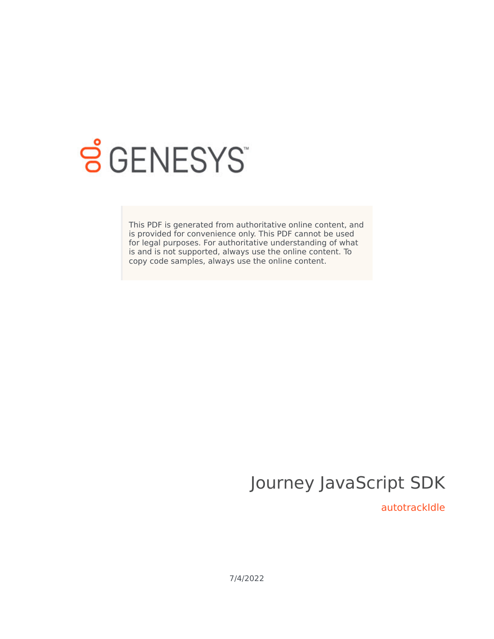

# **SGENESYS**

This PDF is generated from authoritative online content, and is provided for convenience only. This PDF cannot be used for legal purposes. For authoritative understanding of what is and is not supported, always use the online content. To copy code samples, always use the online content.

# Journey JavaScript SDK

autotrackIdle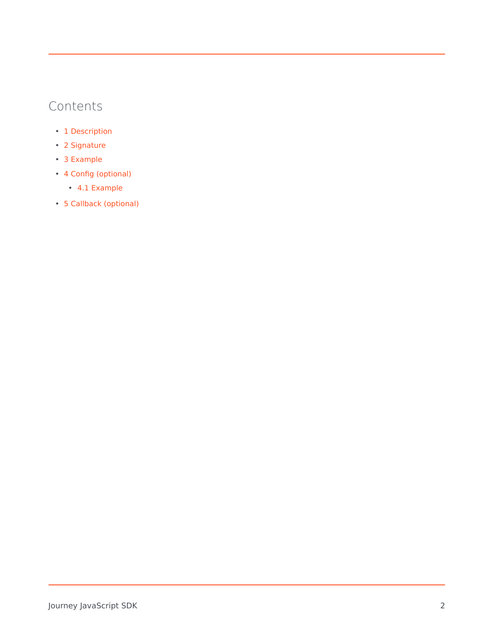### Contents

- 1 [Description](#page-2-0)
- 2 [Signature](#page-2-1)
- 3 [Example](#page-2-2)
- 4 [Config \(optional\)](#page-3-0)
	- 4.1 [Example](#page-3-1)
- 5 [Callback \(optional\)](#page-3-2)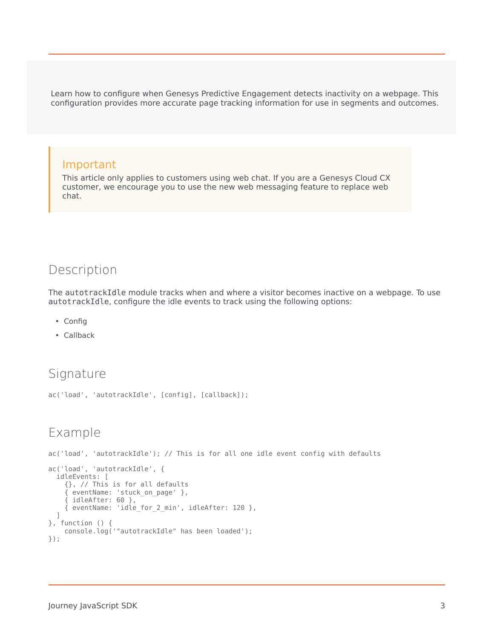Learn how to configure when Genesys Predictive Engagement detects inactivity on a webpage. This configuration provides more accurate page tracking information for use in segments and outcomes.

#### Important

This article only applies to customers using web chat. If you are a Genesys Cloud CX customer, we encourage you to use the new web messaging feature to replace web chat.

#### <span id="page-2-0"></span>Description

The autotrackIdle module tracks when and where a visitor becomes inactive on a webpage. To use autotrackIdle, configure the idle events to track using the following options:

- Config
- Callback

#### <span id="page-2-1"></span>Signature

```
ac('load', 'autotrackIdle', [config], [callback]);
```
#### <span id="page-2-2"></span>Example

ac('load', 'autotrackIdle'); // This is for all one idle event config with defaults

```
ac('load', 'autotrackIdle', {
  idleEvents: [
    {}, // This is for all defaults
    { eventName: 'stuck_on_page' },
    { idleAfter: 60 },
    { eventName: 'idle_for_2_min', idleAfter: 120 },
  ]
}, function () {
    console.log('"autotrackIdle" has been loaded');
});
```